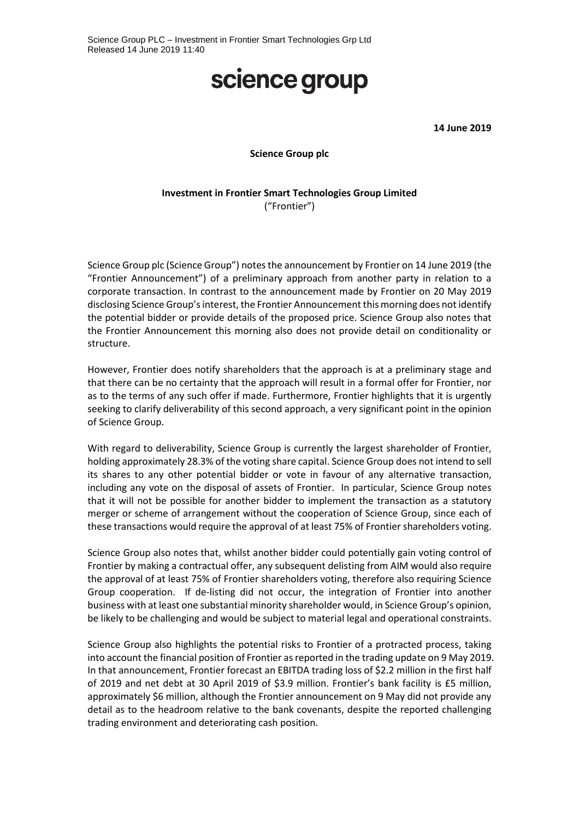## science group

**14 June 2019**

#### **Science Group plc**

#### **Investment in Frontier Smart Technologies Group Limited** ("Frontier")

Science Group plc (Science Group") notes the announcement by Frontier on 14 June 2019 (the "Frontier Announcement") of a preliminary approach from another party in relation to a corporate transaction. In contrast to the announcement made by Frontier on 20 May 2019 disclosing Science Group'sinterest, the Frontier Announcement this morning does not identify the potential bidder or provide details of the proposed price. Science Group also notes that the Frontier Announcement this morning also does not provide detail on conditionality or structure.

However, Frontier does notify shareholders that the approach is at a preliminary stage and that there can be no certainty that the approach will result in a formal offer for Frontier, nor as to the terms of any such offer if made. Furthermore, Frontier highlights that it is urgently seeking to clarify deliverability of this second approach, a very significant point in the opinion of Science Group.

With regard to deliverability, Science Group is currently the largest shareholder of Frontier, holding approximately 28.3% of the voting share capital. Science Group does not intend to sell its shares to any other potential bidder or vote in favour of any alternative transaction, including any vote on the disposal of assets of Frontier. In particular, Science Group notes that it will not be possible for another bidder to implement the transaction as a statutory merger or scheme of arrangement without the cooperation of Science Group, since each of these transactions would require the approval of at least 75% of Frontier shareholders voting.

Science Group also notes that, whilst another bidder could potentially gain voting control of Frontier by making a contractual offer, any subsequent delisting from AIM would also require the approval of at least 75% of Frontier shareholders voting, therefore also requiring Science Group cooperation. If de-listing did not occur, the integration of Frontier into another business with at least one substantial minority shareholder would, in Science Group's opinion, be likely to be challenging and would be subject to material legal and operational constraints.

Science Group also highlights the potential risks to Frontier of a protracted process, taking into account the financial position of Frontier as reported in the trading update on 9 May 2019. In that announcement, Frontier forecast an EBITDA trading loss of \$2.2 million in the first half of 2019 and net debt at 30 April 2019 of \$3.9 million. Frontier's bank facility is £5 million, approximately \$6 million, although the Frontier announcement on 9 May did not provide any detail as to the headroom relative to the bank covenants, despite the reported challenging trading environment and deteriorating cash position.